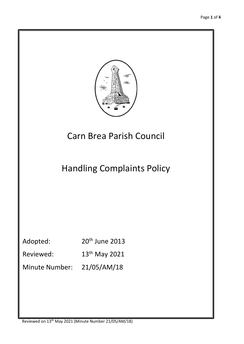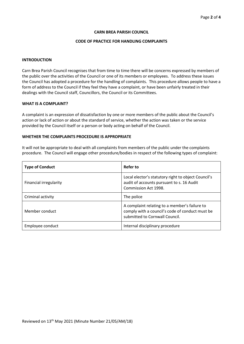#### **CARN BREA PARISH COUNCIL**

## **CODE OF PRACTICE FOR HANDLING COMPLAINTS**

## **INTRODUCTION**

Carn Brea Parish Council recognises that from time to time there will be concerns expressed by members of the public over the activities of the Council or one of its members or employees. To address these issues the Council has adopted a procedure for the handling of complaints. This procedure allows people to have a form of address to the Council if they feel they have a complaint, or have been unfairly treated in their dealings with the Council staff, Councillors, the Council or its Committees.

### **WHAT IS A COMPLAINT?**

A complaint is an expression of dissatisfaction by one or more members of the public about the Council's action or lack of action or about the standard of service, whether the action was taken or the service provided by the Council itself or a person or body acting on behalf of the Council.

## **WHETHER THE COMPLAINTS PROCEDURE IS APPROPRIATE**

It will not be appropriate to deal with all complaints from members of the public under the complaints procedure. The Council will engage other procedure/bodies in respect of the following types of complaint:

| <b>Type of Conduct</b> | <b>Refer to</b>                                                                                                                    |
|------------------------|------------------------------------------------------------------------------------------------------------------------------------|
| Financial irregularity | Local elector's statutory right to object Council's<br>audit of accounts pursuant to s. 16 Audit<br>Commission Act 1998.           |
| Criminal activity      | The police                                                                                                                         |
| Member conduct         | A complaint relating to a member's failure to<br>comply with a council's code of conduct must be<br>submitted to Cornwall Council. |
| Employee conduct       | Internal disciplinary procedure                                                                                                    |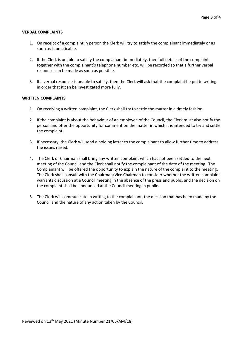#### **VERBAL COMPLAINTS**

- 1. On receipt of a complaint in person the Clerk will try to satisfy the complainant immediately or as soon as is practicable.
- 2. If the Clerk is unable to satisfy the complainant immediately, then full details of the complaint together with the complainant's telephone number etc. will be recorded so that a further verbal response can be made as soon as possible.
- 3. If a verbal response is unable to satisfy, then the Clerk will ask that the complaint be put in writing in order that it can be investigated more fully.

# **WRITTEN COMPLAINTS**

- 1. On receiving a written complaint, the Clerk shall try to settle the matter in a timely fashion.
- 2. If the complaint is about the behaviour of an employee of the Council, the Clerk must also notify the person and offer the opportunity for comment on the matter in which it is intended to try and settle the complaint.
- 3. If necessary, the Clerk will send a holding letter to the complainant to allow further time to address the issues raised.
- 4. The Clerk or Chairman shall bring any written complaint which has not been settled to the next meeting of the Council and the Clerk shall notify the complainant of the date of the meeting. The Complainant will be offered the opportunity to explain the nature of the complaint to the meeting. The Clerk shall consult with the Chairman/Vice Chairman to consider whether the written complaint warrants discussion at a Council meeting in the absence of the press and public, and the decision on the complaint shall be announced at the Council meeting in public.
- 5. The Clerk will communicate in writing to the complainant, the decision that has been made by the Council and the nature of any action taken by the Council.